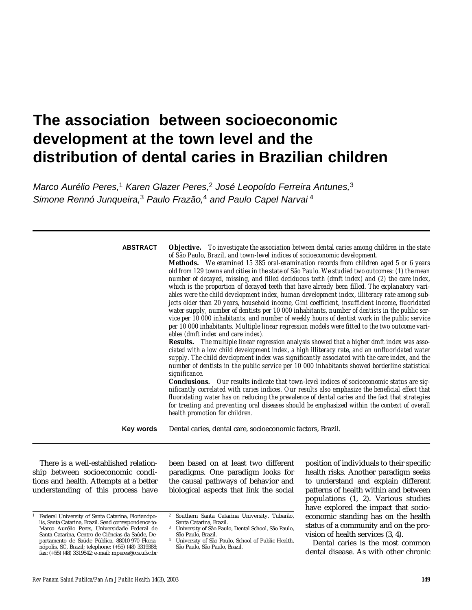# **The association between socioeconomic development at the town level and the distribution of dental caries in Brazilian children**

*Marco Aurélio Peres,* <sup>1</sup> *Karen Glazer Peres,* <sup>2</sup> *José Leopoldo Ferreira Antunes,* 3 *Simone Rennó Junqueira,* <sup>3</sup> *Paulo Frazão,* <sup>4</sup> *and Paulo Capel Narvai* 4

| <b>ABSTRACT</b> | <b>Objective.</b> To investigate the association between dental caries among children in the state<br>of São Paulo, Brazil, and town-level indices of socioeconomic development.<br>Methods. We examined 15 385 oral-examination records from children aged 5 or 6 years<br>old from 129 towns and cities in the state of São Paulo. We studied two outcomes: (1) the mean<br>number of decayed, missing, and filled deciduous teeth (dmft index) and (2) the care index,<br>which is the proportion of decayed teeth that have already been filled. The explanatory vari-<br>ables were the child development index, human development index, illiteracy rate among sub-<br>jects older than 20 years, household income, Gini coefficient, insufficient income, fluoridated<br>water supply, number of dentists per 10 000 inhabitants, number of dentists in the public ser-<br>vice per 10 000 inhabitants, and number of weekly hours of dentist work in the public service<br>per 10 000 inhabitants. Multiple linear regression models were fitted to the two outcome vari-<br>ables (dmft index and care index).<br>Results. The multiple linear regression analysis showed that a higher dmft index was asso-<br>ciated with a low child development index, a high illiteracy rate, and an unfluoridated water<br>supply. The child development index was significantly associated with the care index, and the<br>number of dentists in the public service per 10 000 inhabitants showed borderline statistical<br>significance.<br>Conclusions. Our results indicate that town-level indices of socioeconomic status are sig-<br>nificantly correlated with caries indices. Our results also emphasize the beneficial effect that<br>fluoridating water has on reducing the prevalence of dental caries and the fact that strategies<br>for treating and preventing oral diseases should be emphasized within the context of overall<br>health promotion for children. |
|-----------------|----------------------------------------------------------------------------------------------------------------------------------------------------------------------------------------------------------------------------------------------------------------------------------------------------------------------------------------------------------------------------------------------------------------------------------------------------------------------------------------------------------------------------------------------------------------------------------------------------------------------------------------------------------------------------------------------------------------------------------------------------------------------------------------------------------------------------------------------------------------------------------------------------------------------------------------------------------------------------------------------------------------------------------------------------------------------------------------------------------------------------------------------------------------------------------------------------------------------------------------------------------------------------------------------------------------------------------------------------------------------------------------------------------------------------------------------------------------------------------------------------------------------------------------------------------------------------------------------------------------------------------------------------------------------------------------------------------------------------------------------------------------------------------------------------------------------------------------------------------------------------------------------------------------------------------------------------------------------------------|
| Key words       | Dental caries, dental care, socioeconomic factors, Brazil.                                                                                                                                                                                                                                                                                                                                                                                                                                                                                                                                                                                                                                                                                                                                                                                                                                                                                                                                                                                                                                                                                                                                                                                                                                                                                                                                                                                                                                                                                                                                                                                                                                                                                                                                                                                                                                                                                                                       |

There is a well-established relationship between socioeconomic conditions and health. Attempts at a better understanding of this process have been based on at least two different paradigms. One paradigm looks for the causal pathways of behavior and biological aspects that link the social

<sup>2</sup> Southern Santa Catarina University, Tubarão,

position of individuals to their specific health risks. Another paradigm seeks to understand and explain different patterns of health within and between populations (1, 2). Various studies have explored the impact that socioeconomic standing has on the health status of a community and on the provision of health services (3, 4).

Dental caries is the most common dental disease. As with other chronic

Federal University of Santa Catarina, Florianópolis, Santa Catarina, Brazil. Send correspondence to: Marco Aurélio Peres, Universidade Federal de Santa Catarina, Centro de Ciências da Saúde, Departamento de Saúde Pública, 88010-970 Florianópolis, SC, Brazil; telephone: (+55) (48) 3319388; fax: (+55) (48) 3319542; e-mail: mperes@ccs.ufsc.br

Santa Catarina, Brazil. <sup>3</sup> University of São Paulo, Dental School, São Paulo, São Paulo, Brazil.

<sup>4</sup> University of São Paulo, School of Public Health, São Paulo, São Paulo, Brazil.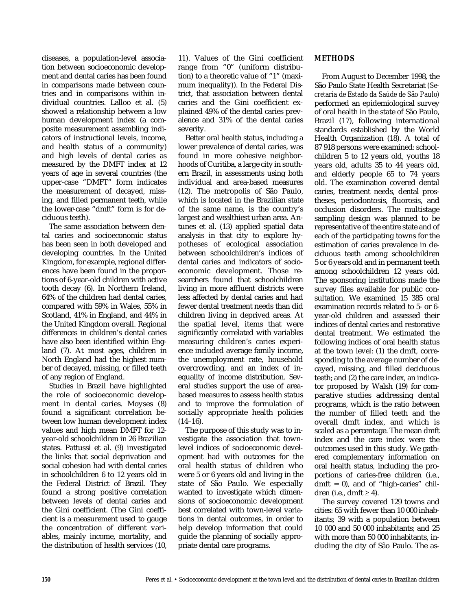diseases, a population-level association between socioeconomic development and dental caries has been found in comparisons made between countries and in comparisons within individual countries. Lalloo et al. (5) showed a relationship between a low human development index (a composite measurement assembling indicators of instructional levels, income, and health status of a community) and high levels of dental caries as measured by the DMFT index at 12 years of age in several countries (the upper-case "DMFT" form indicates the measurement of decayed, missing, and filled permanent teeth, while the lower-case "dmft" form is for deciduous teeth).

The same association between dental caries and socioeconomic status has been seen in both developed and developing countries. In the United Kingdom, for example, regional differences have been found in the proportions of 6-year-old children with active tooth decay (6). In Northern Ireland, 64% of the children had dental caries, compared with 59% in Wales, 55% in Scotland, 41% in England, and 44% in the United Kingdom overall. Regional differences in children's dental caries have also been identified within England (7). At most ages, children in North England had the highest number of decayed, missing, or filled teeth of any region of England.

Studies in Brazil have highlighted the role of socioeconomic development in dental caries. Moyses (8) found a significant correlation between low human development index values and high mean DMFT for 12 year-old schoolchildren in 26 Brazilian states. Pattussi et al. (9) investigated the links that social deprivation and social cohesion had with dental caries in schoolchildren 6 to 12 years old in the Federal District of Brazil. They found a strong positive correlation between levels of dental caries and the Gini coefficient. (The Gini coefficient is a measurement used to gauge the concentration of different variables, mainly income, mortality, and the distribution of health services (10,

11). Values of the Gini coefficient range from "0" (uniform distribution) to a theoretic value of "1" (maximum inequality)). In the Federal District, that association between dental caries and the Gini coefficient explained 49% of the dental caries prevalence and 31% of the dental caries severity.

Better oral health status, including a lower prevalence of dental caries, was found in more cohesive neighborhoods of Curitiba, a large city in southern Brazil, in assessments using both individual and area-based measures (12). The metropolis of São Paulo, which is located in the Brazilian state of the same name, is the country's largest and wealthiest urban area. Antunes et al. (13) applied spatial data analysis in that city to explore hypotheses of ecological association between schoolchildren's indices of dental caries and indicators of socioeconomic development. Those researchers found that schoolchildren living in more affluent districts were less affected by dental caries and had fewer dental treatment needs than did children living in deprived areas. At the spatial level, items that were significantly correlated with variables measuring children's caries experience included average family income, the unemployment rate, household overcrowding, and an index of inequality of income distribution. Several studies support the use of areabased measures to assess health status and to improve the formulation of socially appropriate health policies  $(14-16)$ .

The purpose of this study was to investigate the association that townlevel indices of socioeconomic development had with outcomes for the oral health status of children who were 5 or 6 years old and living in the state of São Paulo. We especially wanted to investigate which dimensions of socioeconomic development best correlated with town-level variations in dental outcomes, in order to help develop information that could guide the planning of socially appropriate dental care programs.

## **METHODS**

From August to December 1998, the São Paulo State Health Secretariat *(Secretaria de Estado da Saúde de São Paulo)* performed an epidemiological survey of oral health in the state of São Paulo, Brazil (17), following international standards established by the World Health Organization (18). A total of 87 918 persons were examined: schoolchildren 5 to 12 years old, youths 18 years old, adults 35 to 44 years old, and elderly people 65 to 74 years old. The examination covered dental caries, treatment needs, dental prostheses, periodontosis, fluorosis, and occlusion disorders. The multistage sampling design was planned to be representative of the entire state and of each of the participating towns for the estimation of caries prevalence in deciduous teeth among schoolchildren 5 or 6 years old and in permanent teeth among schoolchildren 12 years old. The sponsoring institutions made the survey files available for public consultation. We examined 15 385 oral examination records related to 5- or 6 year-old children and assessed their indices of dental caries and restorative dental treatment. We estimated the following indices of oral health status at the town level: (1) the dmft, corresponding to the average number of decayed, missing, and filled deciduous teeth; and (2) the care index, an indicator proposed by Walsh (19) for comparative studies addressing dental programs, which is the ratio between the number of filled teeth and the overall dmft index, and which is scaled as a percentage. The mean dmft index and the care index were the outcomes used in this study. We gathered complementary information on oral health status, including the proportions of caries-free children (i.e., dmft =  $0$ ), and of "high-caries" children (i.e., dmft  $\geq 4$ ).

The survey covered 129 towns and cities: 65 with fewer than 10 000 inhabitants; 39 with a population between 10 000 and 50 000 inhabitants; and 25 with more than 50 000 inhabitants, including the city of São Paulo. The as-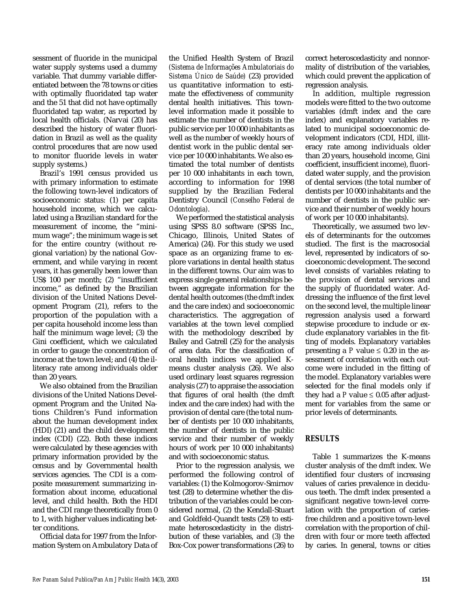sessment of fluoride in the municipal water supply systems used a dummy variable. That dummy variable differentiated between the 78 towns or cities with optimally fluoridated tap water and the 51 that did not have optimally fluoridated tap water, as reported by local health officials. (Narvai (20) has described the history of water fluoridation in Brazil as well as the quality control procedures that are now used to monitor fluoride levels in water supply systems.)

Brazil's 1991 census provided us with primary information to estimate the following town-level indicators of socioeconomic status: (1) per capita household income, which we calculated using a Brazilian standard for the measurement of income, the "minimum wage"; the minimum wage is set for the entire country (without regional variation) by the national Government, and while varying in recent years, it has generally been lower than US\$ 100 per month; (2) "insufficient income," as defined by the Brazilian division of the United Nations Development Program (21), refers to the proportion of the population with a per capita household income less than half the minimum wage level; (3) the Gini coefficient, which we calculated in order to gauge the concentration of income at the town level; and (4) the illiteracy rate among individuals older than 20 years.

We also obtained from the Brazilian divisions of the United Nations Development Program and the United Nations Children's Fund information about the human development index (HDI) (21) and the child development index (CDI) (22). Both these indices were calculated by these agencies with primary information provided by the census and by Governmental health services agencies. The CDI is a composite measurement summarizing information about income, educational level, and child health. Both the HDI and the CDI range theoretically from 0 to 1, with higher values indicating better conditions.

Official data for 1997 from the Information System on Ambulatory Data of the Unified Health System of Brazil *(Sistema de Informações Ambulatoriais do Sistema Único de Saúde)* (23) provided us quantitative information to estimate the effectiveness of community dental health initiatives. This townlevel information made it possible to estimate the number of dentists in the public service per 10 000 inhabitants as well as the number of weekly hours of dentist work in the public dental service per 10 000 inhabitants. We also estimated the total number of dentists per 10 000 inhabitants in each town, according to information for 1998 supplied by the Brazilian Federal Dentistry Council *(Conselho Federal de Odontologia)*.

We performed the statistical analysis using SPSS 8.0 software (SPSS Inc., Chicago, Illinois, United States of America) (24). For this study we used space as an organizing frame to explore variations in dental health status in the different towns. Our aim was to express single general relationships between aggregate information for the dental health outcomes (the dmft index and the care index) and socioeconomic characteristics. The aggregation of variables at the town level complied with the methodology described by Bailey and Gatrell (25) for the analysis of area data. For the classification of oral health indices we applied Kmeans cluster analysis (26). We also used ordinary least squares regression analysis (27) to appraise the association that figures of oral health (the dmft index and the care index) had with the provision of dental care (the total number of dentists per 10 000 inhabitants, the number of dentists in the public service and their number of weekly hours of work per 10 000 inhabitants) and with socioeconomic status.

Prior to the regression analysis, we performed the following control of variables: (1) the Kolmogorov-Smirnov test (28) to determine whether the distribution of the variables could be considered normal, (2) the Kendall-Stuart and Goldfeld-Quandt tests (29) to estimate heteroscedasticity in the distribution of these variables, and (3) the Box-Cox power transformations (26) to correct heteroscedasticity and nonnormality of distribution of the variables, which could prevent the application of regression analysis.

In addition, multiple regression models were fitted to the two outcome variables (dmft index and the care index) and explanatory variables related to municipal socioeconomic development indicators (CDI, HDI, illiteracy rate among individuals older than 20 years, household income, Gini coefficient, insufficient income), fluoridated water supply, and the provision of dental services (the total number of dentists per 10 000 inhabitants and the number of dentists in the public service and their number of weekly hours of work per 10 000 inhabitants).

Theoretically, we assumed two levels of determinants for the outcomes studied. The first is the macrosocial level, represented by indicators of socioeconomic development. The second level consists of variables relating to the provision of dental services and the supply of fluoridated water. Addressing the influence of the first level on the second level, the multiple linear regression analysis used a forward stepwise procedure to include or exclude explanatory variables in the fitting of models. Explanatory variables presenting a *P* value  $\leq 0.20$  in the assessment of correlation with each outcome were included in the fitting of the model. Explanatory variables were selected for the final models only if they had a  $P$  value  $\leq 0.05$  after adjustment for variables from the same or prior levels of determinants.

## **RESULTS**

Table 1 summarizes the K-means cluster analysis of the dmft index. We identified four clusters of increasing values of caries prevalence in deciduous teeth. The dmft index presented a significant negative town-level correlation with the proportion of cariesfree children and a positive town-level correlation with the proportion of children with four or more teeth affected by caries. In general, towns or cities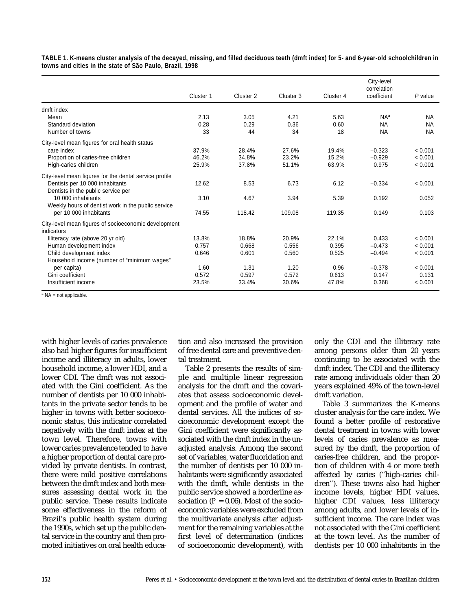| TABLE 1. K-means cluster analysis of the decayed, missing, and filled deciduous teeth (dmft index) for 5- and 6-year-old schoolchildren in |  |  |
|--------------------------------------------------------------------------------------------------------------------------------------------|--|--|
| towns and cities in the state of São Paulo, Brazil, 1998                                                                                   |  |  |

|                                                        | Cluster 1 | Cluster <sub>2</sub> | Cluster 3 | Cluster 4 | City-level<br>correlation<br>coefficient | $P$ value |
|--------------------------------------------------------|-----------|----------------------|-----------|-----------|------------------------------------------|-----------|
| dmft index                                             |           |                      |           |           |                                          |           |
| Mean                                                   | 2.13      | 3.05                 | 4.21      | 5.63      | N <sub>Aa</sub>                          | <b>NA</b> |
| Standard deviation                                     | 0.28      | 0.29                 | 0.36      | 0.60      | <b>NA</b>                                | <b>NA</b> |
| Number of towns                                        | 33        | 44                   | 34        | 18        | <b>NA</b>                                | <b>NA</b> |
| City-level mean figures for oral health status         |           |                      |           |           |                                          |           |
| care index                                             | 37.9%     | 28.4%                | 27.6%     | 19.4%     | $-0.323$                                 | < 0.001   |
| Proportion of caries-free children                     | 46.2%     | 34.8%                | 23.2%     | 15.2%     | $-0.929$                                 | < 0.001   |
| High-caries children                                   | 25.9%     | 37.8%                | 51.1%     | 63.9%     | 0.975                                    | < 0.001   |
| City-level mean figures for the dental service profile |           |                      |           |           |                                          |           |
| Dentists per 10 000 inhabitants                        | 12.62     | 8.53                 | 6.73      | 6.12      | $-0.334$                                 | < 0.001   |
| Dentists in the public service per                     |           |                      |           |           |                                          |           |
| 10 000 inhabitants                                     | 3.10      | 4.67                 | 3.94      | 5.39      | 0.192                                    | 0.052     |
| Weekly hours of dentist work in the public service     |           |                      |           |           |                                          |           |
| per 10 000 inhabitants                                 | 74.55     | 118.42               | 109.08    | 119.35    | 0.149                                    | 0.103     |
| City-level mean figures of socioeconomic development   |           |                      |           |           |                                          |           |
| indicators                                             |           |                      |           |           |                                          |           |
| Illiteracy rate (above 20 yr old)                      | 13.8%     | 18.8%                | 20.9%     | 22.1%     | 0.433                                    | < 0.001   |
| Human development index                                | 0.757     | 0.668                | 0.556     | 0.395     | $-0.473$                                 | < 0.001   |
| Child development index                                | 0.646     | 0.601                | 0.560     | 0.525     | $-0.494$                                 | < 0.001   |
| Household income (number of "minimum wages"            |           |                      |           |           |                                          |           |
| per capita)                                            | 1.60      | 1.31                 | 1.20      | 0.96      | $-0.378$                                 | < 0.001   |
| Gini coefficient                                       | 0.572     | 0.597                | 0.572     | 0.613     | 0.147                                    | 0.131     |
| Insufficient income                                    | 23.5%     | 33.4%                | 30.6%     | 47.8%     | 0.368                                    | < 0.001   |

 $a$  NA = not applicable.

with higher levels of caries prevalence also had higher figures for insufficient income and illiteracy in adults, lower household income, a lower HDI, and a lower CDI. The dmft was not associated with the Gini coefficient. As the number of dentists per 10 000 inhabitants in the private sector tends to be higher in towns with better socioeconomic status, this indicator correlated negatively with the dmft index at the town level. Therefore, towns with lower caries prevalence tended to have a higher proportion of dental care provided by private dentists. In contrast, there were mild positive correlations between the dmft index and both measures assessing dental work in the public service. These results indicate some effectiveness in the reform of Brazil's public health system during the 1990s, which set up the public dental service in the country and then promoted initiatives on oral health education and also increased the provision of free dental care and preventive dental treatment.

Table 2 presents the results of simple and multiple linear regression analysis for the dmft and the covariates that assess socioeconomic development and the profile of water and dental services. All the indices of socioeconomic development except the Gini coefficient were significantly associated with the dmft index in the unadjusted analysis. Among the second set of variables, water fluoridation and the number of dentists per 10 000 inhabitants were significantly associated with the dmft, while dentists in the public service showed a borderline association  $(P = 0.06)$ . Most of the socioeconomic variables were excluded from the multivariate analysis after adjustment for the remaining variables at the first level of determination (indices of socioeconomic development), with only the CDI and the illiteracy rate among persons older than 20 years continuing to be associated with the dmft index. The CDI and the illiteracy rate among individuals older than 20 years explained 49% of the town-level dmft variation.

Table 3 summarizes the K-means cluster analysis for the care index. We found a better profile of restorative dental treatment in towns with lower levels of caries prevalence as measured by the dmft, the proportion of caries-free children, and the proportion of children with 4 or more teeth affected by caries ("high-caries children"). These towns also had higher income levels, higher HDI values, higher CDI values, less illiteracy among adults, and lower levels of insufficient income. The care index was not associated with the Gini coefficient at the town level. As the number of dentists per 10 000 inhabitants in the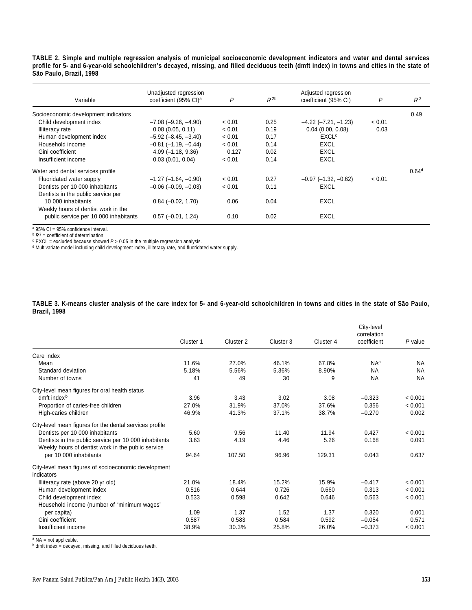**TABLE 2. Simple and multiple regression analysis of municipal socioeconomic development indicators and water and dental services profile for 5- and 6-year-old schoolchildren's decayed, missing, and filled deciduous teeth (dmft index) in towns and cities in the state of São Paulo, Brazil, 1998** 

| Variable                              | Unadjusted regression<br>coefficient (95% CI) <sup>a</sup> | P      | $R^{2b}$ | Adjusted regression<br>coefficient (95% CI) | P      | $R^2$             |
|---------------------------------------|------------------------------------------------------------|--------|----------|---------------------------------------------|--------|-------------------|
| Socioeconomic development indicators  |                                                            |        |          |                                             |        | 0.49              |
| Child development index               | $-7.08$ $(-9.26, -4.90)$                                   | < 0.01 | 0.25     | $-4.22$ ( $-7.21$ , $-1.23$ )               | < 0.01 |                   |
| Illiteracy rate                       | $0.08$ $(0.05, 0.11)$                                      | < 0.01 | 0.19     | 0.04(0.00, 0.08)                            | 0.03   |                   |
| Human development index               | $-5.92$ ( $-8.45, -3.40$ )                                 | < 0.01 | 0.17     | <b>EXCL<sup>c</sup></b>                     |        |                   |
| Household income                      | $-0.81$ ( $-1.19$ , $-0.44$ )                              | < 0.01 | 0.14     | EXCL                                        |        |                   |
| Gini coefficient                      | $4.09(-1.18, 9.36)$                                        | 0.127  | 0.02     | <b>EXCL</b>                                 |        |                   |
| Insufficient income                   | 0.03(0.01, 0.04)                                           | < 0.01 | 0.14     | <b>EXCL</b>                                 |        |                   |
| Water and dental services profile     |                                                            |        |          |                                             |        | 0.64 <sup>d</sup> |
| Fluoridated water supply              | $-1.27$ ( $-1.64$ , $-0.90$ )                              | < 0.01 | 0.27     | $-0.97$ ( $-1.32$ , $-0.62$ )               | < 0.01 |                   |
| Dentists per 10 000 inhabitants       | $-0.06$ ( $-0.09$ , $-0.03$ )                              | < 0.01 | 0.11     | EXCL                                        |        |                   |
| Dentists in the public service per    |                                                            |        |          |                                             |        |                   |
| 10 000 inhabitants                    | $0.84 (-0.02, 1.70)$                                       | 0.06   | 0.04     | EXCL                                        |        |                   |
| Weekly hours of dentist work in the   |                                                            |        |          |                                             |        |                   |
| public service per 10 000 inhabitants | $0.57$ (-0.01, 1.24)                                       | 0.10   | 0.02     | EXCL                                        |        |                   |

<sup>a</sup> 95% CI = 95% confidence interval.

<sup>b</sup> R<sup>2</sup> = coefficient of determination.<br><sup>c</sup> EXCL = excluded because showed *P* > 0.05 in the multiple regression analysis.

<sup>d</sup> Multivariate model including child development index, illiteracy rate, and fluoridated water supply.

#### **TABLE 3. K-means cluster analysis of the care index for 5- and 6-year-old schoolchildren in towns and cities in the state of São Paulo, Brazil, 1998**

|                                                         |           |           |           |           | City-level<br>correlation |           |
|---------------------------------------------------------|-----------|-----------|-----------|-----------|---------------------------|-----------|
|                                                         | Cluster 1 | Cluster 2 | Cluster 3 | Cluster 4 | coefficient               | P value   |
| Care index                                              |           |           |           |           |                           |           |
| Mean                                                    | 11.6%     | 27.0%     | 46.1%     | 67.8%     | NA <sup>a</sup>           | <b>NA</b> |
| Standard deviation                                      | 5.18%     | 5.56%     | 5.36%     | 8.90%     | <b>NA</b>                 | <b>NA</b> |
| Number of towns                                         | 41        | 49        | 30        | 9         | <b>NA</b>                 | <b>NA</b> |
| City-level mean figures for oral health status          |           |           |           |           |                           |           |
| dmft index <sup>b</sup>                                 | 3.96      | 3.43      | 3.02      | 3.08      | $-0.323$                  | < 0.001   |
| Proportion of caries-free children                      | 27.0%     | 31.9%     | 37.0%     | 37.6%     | 0.356                     | < 0.001   |
| High-caries children                                    | 46.9%     | 41.3%     | 37.1%     | 38.7%     | $-0.270$                  | 0.002     |
| City-level mean figures for the dental services profile |           |           |           |           |                           |           |
| Dentists per 10 000 inhabitants                         | 5.60      | 9.56      | 11.40     | 11.94     | 0.427                     | < 0.001   |
| Dentists in the public service per 10 000 inhabitants   | 3.63      | 4.19      | 4.46      | 5.26      | 0.168                     | 0.091     |
| Weekly hours of dentist work in the public service      |           |           |           |           |                           |           |
| per 10 000 inhabitants                                  | 94.64     | 107.50    | 96.96     | 129.31    | 0.043                     | 0.637     |
| City-level mean figures of socioeconomic development    |           |           |           |           |                           |           |
| indicators                                              |           |           |           |           |                           |           |
| Illiteracy rate (above 20 yr old)                       | 21.0%     | 18.4%     | 15.2%     | 15.9%     | $-0.417$                  | < 0.001   |
| Human development index                                 | 0.516     | 0.644     | 0.726     | 0.660     | 0.313                     | < 0.001   |
| Child development index                                 | 0.533     | 0.598     | 0.642     | 0.646     | 0.563                     | < 0.001   |
| Household income (number of "minimum wages"             |           |           |           |           |                           |           |
| per capita)                                             | 1.09      | 1.37      | 1.52      | 1.37      | 0.320                     | 0.001     |
| Gini coefficient                                        | 0.587     | 0.583     | 0.584     | 0.592     | $-0.054$                  | 0.571     |
| Insufficient income                                     | 38.9%     | 30.3%     | 25.8%     | 26.0%     | $-0.373$                  | < 0.001   |

<sup>a</sup> NA = not applicable.<br><sup>b</sup> dmft index = decayed, missing, and filled deciduous teeth.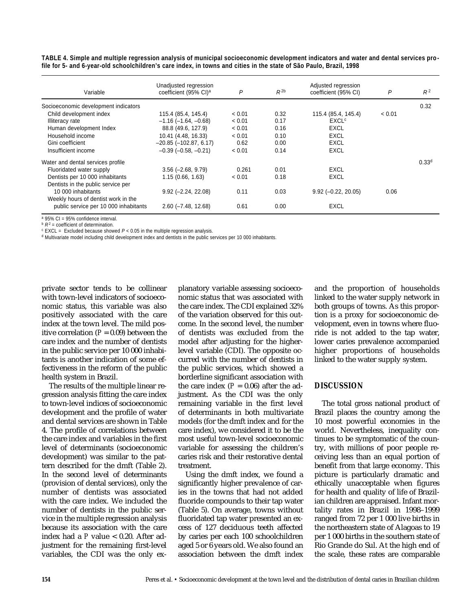| Variable                              | Unadjusted regression<br>coefficient (95% CI) <sup>a</sup> | P      | $R^{2b}$ | Adjusted regression<br>coefficient (95% CI) | P      | $R^2$      |
|---------------------------------------|------------------------------------------------------------|--------|----------|---------------------------------------------|--------|------------|
| Socioeconomic development indicators  |                                                            |        |          |                                             |        | 0.32       |
| Child development index               | 115.4 (85.4, 145.4)                                        | < 0.01 | 0.32     | 115.4 (85.4, 145.4)                         | < 0.01 |            |
| Illiteracy rate                       | $-1.16$ ( $-1.64$ , $-0.68$ )                              | < 0.01 | 0.17     | <b>EXCL<sup>c</sup></b>                     |        |            |
| Human development Index               | 88.8 (49.6, 127.9)                                         | < 0.01 | 0.16     | <b>EXCL</b>                                 |        |            |
| Household income                      | 10.41 (4.48, 16.33)                                        | < 0.01 | 0.10     | <b>EXCL</b>                                 |        |            |
| Gini coefficient                      | $-20.85$ $(-102.87, 6.17)$                                 | 0.62   | 0.00     | EXCL                                        |        |            |
| Insufficient income                   | $-0.39$ $(-0.58, -0.21)$                                   | < 0.01 | 0.14     | EXCL                                        |        |            |
| Water and dental services profile     |                                                            |        |          |                                             |        | $0.33^{d}$ |
| Fluoridated water supply              | $3.56$ ( $-2.68$ , $9.79$ )                                | 0.261  | 0.01     | EXCL                                        |        |            |
| Dentists per 10 000 inhabitants       | 1.15(0.66, 1.63)                                           | < 0.01 | 0.18     | <b>EXCL</b>                                 |        |            |
| Dentists in the public service per    |                                                            |        |          |                                             |        |            |
| 10 000 inhabitants                    | $9.92 (-2.24, 22.08)$                                      | 0.11   | 0.03     | $9.92 (-0.22, 20.05)$                       | 0.06   |            |
| Weekly hours of dentist work in the   |                                                            |        |          |                                             |        |            |
| public service per 10 000 inhabitants | $2.60$ ( $-7.48$ , 12.68)                                  | 0.61   | 0.00     | EXCL                                        |        |            |

**TABLE 4. Simple and multiple regression analysis of municipal socioeconomic development indicators and water and dental services profile for 5- and 6-year-old schoolchildren's care index, in towns and cities in the state of São Paulo, Brazil, 1998** 

 $a$  95% CI = 95% confidence interval.

 $B^2$  = coefficient of determination.

<sup>c</sup> EXCL = Excluded because showed *P* < 0.05 in the multiple regression analysis.

<sup>d</sup> Multivariate model including child development index and dentists in the public services per 10 000 inhabitants.

private sector tends to be collinear with town-level indicators of socioeconomic status, this variable was also positively associated with the care index at the town level. The mild positive correlation  $(P = 0.09)$  between the care index and the number of dentists in the public service per 10 000 inhabitants is another indication of some effectiveness in the reform of the public health system in Brazil.

The results of the multiple linear regression analysis fitting the care index to town-level indices of socioeconomic development and the profile of water and dental services are shown in Table 4. The profile of correlations between the care index and variables in the first level of determinants (socioeconomic development) was similar to the pattern described for the dmft (Table 2). In the second level of determinants (provision of dental services), only the number of dentists was associated with the care index. We included the number of dentists in the public service in the multiple regression analysis because its association with the care index had a *P* value < 0.20. After adjustment for the remaining first-level variables, the CDI was the only explanatory variable assessing socioeconomic status that was associated with the care index. The CDI explained 32% of the variation observed for this outcome. In the second level, the number of dentists was excluded from the model after adjusting for the higherlevel variable (CDI). The opposite occurred with the number of dentists in the public services, which showed a borderline significant association with the care index  $(P = 0.06)$  after the adjustment. As the CDI was the only remaining variable in the first level of determinants in both multivariate models (for the dmft index and for the care index), we considered it to be the most useful town-level socioeconomic variable for assessing the children's caries risk and their restorative dental treatment.

Using the dmft index, we found a significantly higher prevalence of caries in the towns that had not added fluoride compounds to their tap water (Table 5). On average, towns without fluoridated tap water presented an excess of 127 deciduous teeth affected by caries per each 100 schoolchildren aged 5 or 6 years old. We also found an association between the dmft index

and the proportion of households linked to the water supply network in both groups of towns. As this proportion is a proxy for socioeconomic development, even in towns where fluoride is not added to the tap water, lower caries prevalence accompanied higher proportions of households linked to the water supply system.

## **DISCUSSION**

The total gross national product of Brazil places the country among the 10 most powerful economies in the world. Nevertheless, inequality continues to be symptomatic of the country, with millions of poor people receiving less than an equal portion of benefit from that large economy. This picture is particularly dramatic and ethically unacceptable when figures for health and quality of life of Brazilian children are appraised. Infant mortality rates in Brazil in 1998–1999 ranged from 72 per 1 000 live births in the northeastern state of Alagoas to 19 per 1 000 births in the southern state of Rio Grande do Sul. At the high end of the scale, these rates are comparable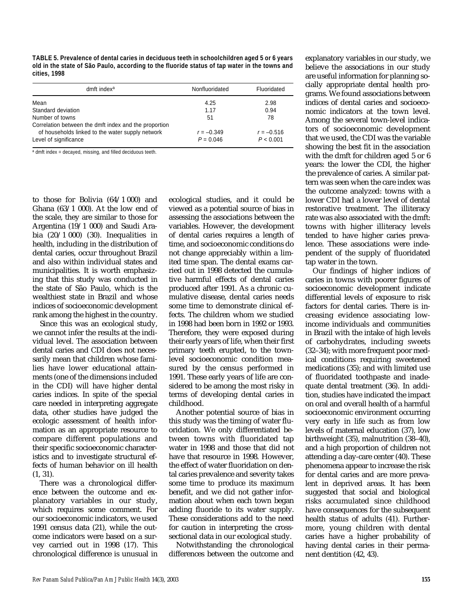**TABLE 5. Prevalence of dental caries in deciduous teeth in schoolchildren aged 5 or 6 years old in the state of São Paulo, according to the fluoride status of tap water in the towns and cities, 1998**

| dmft index <sup>a</sup>                               | Nonfluoridated | Fluoridated  |
|-------------------------------------------------------|----------------|--------------|
| Mean                                                  | 4.25           | 2.98         |
| Standard deviation                                    | 1.17           | 0.94         |
| Number of towns                                       | 51             | 78           |
| Correlation between the dmft index and the proportion |                |              |
| of households linked to the water supply network      | $r = -0.349$   | $r = -0.516$ |
| Level of significance                                 | $P = 0.046$    | P < 0.001    |

a dmft index = decayed, missing, and filled deciduous teeth.

to those for Bolivia (64/1 000) and Ghana  $(63/1 000)$ . At the low end of the scale, they are similar to those for Argentina (19/1 000) and Saudi Arabia  $(20/1000)$   $(30)$ . Inequalities in health, including in the distribution of dental caries, occur throughout Brazil and also within individual states and municipalities. It is worth emphasizing that this study was conducted in the state of São Paulo, which is the wealthiest state in Brazil and whose indices of socioeconomic development rank among the highest in the country.

Since this was an ecological study, we cannot infer the results at the individual level. The association between dental caries and CDI does not necessarily mean that children whose families have lower educational attainments (one of the dimensions included in the CDI) will have higher dental caries indices. In spite of the special care needed in interpreting aggregate data, other studies have judged the ecologic assessment of health information as an appropriate resource to compare different populations and their specific socioeconomic characteristics and to investigate structural effects of human behavior on ill health (1, 31).

There was a chronological difference between the outcome and explanatory variables in our study, which requires some comment. For our socioeconomic indicators, we used 1991 census data (21), while the outcome indicators were based on a survey carried out in 1998 (17). This chronological difference is unusual in ecological studies, and it could be viewed as a potential source of bias in assessing the associations between the variables. However, the development of dental caries requires a length of time, and socioeconomic conditions do not change appreciably within a limited time span. The dental exams carried out in 1998 detected the cumulative harmful effects of dental caries produced after 1991. As a chronic cumulative disease, dental caries needs some time to demonstrate clinical effects. The children whom we studied in 1998 had been born in 1992 or 1993. Therefore, they were exposed during their early years of life, when their first primary teeth erupted, to the townlevel socioeconomic condition measured by the census performed in 1991. These early years of life are considered to be among the most risky in terms of developing dental caries in childhood.

Another potential source of bias in this study was the timing of water fluoridation. We only differentiated between towns with fluoridated tap water in 1998 and those that did not have that resource in 1998. However, the effect of water fluoridation on dental caries prevalence and severity takes some time to produce its maximum benefit, and we did not gather information about when each town began adding fluoride to its water supply. These considerations add to the need for caution in interpreting the crosssectional data in our ecological study.

Notwithstanding the chronological differences between the outcome and

explanatory variables in our study, we believe the associations in our study are useful information for planning socially appropriate dental health programs. We found associations between indices of dental caries and socioeconomic indicators at the town level. Among the several town-level indicators of socioeconomic development that we used, the CDI was the variable showing the best fit in the association with the dmft for children aged 5 or 6 years: the lower the CDI, the higher the prevalence of caries. A similar pattern was seen when the care index was the outcome analyzed: towns with a lower CDI had a lower level of dental restorative treatment. The illiteracy rate was also associated with the dmft: towns with higher illiteracy levels tended to have higher caries prevalence. These associations were independent of the supply of fluoridated tap water in the town.

Our findings of higher indices of caries in towns with poorer figures of socioeconomic development indicate differential levels of exposure to risk factors for dental caries. There is increasing evidence associating lowincome individuals and communities in Brazil with the intake of high levels of carbohydrates, including sweets (32–34); with more frequent poor medical conditions requiring sweetened medications (35); and with limited use of fluoridated toothpaste and inadequate dental treatment (36). In addition, studies have indicated the impact on oral and overall health of a harmful socioeconomic environment occurring very early in life such as from low levels of maternal education (37), low birthweight (35), malnutrition (38–40), and a high proportion of children not attending a day-care center (40). These phenomena appear to increase the risk for dental caries and are more prevalent in deprived areas. It has been suggested that social and biological risks accumulated since childhood have consequences for the subsequent health status of adults (41). Furthermore, young children with dental caries have a higher probability of having dental caries in their permanent dentition (42, 43).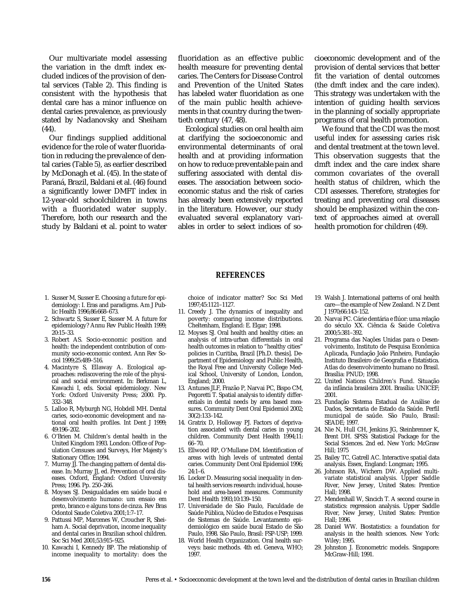Our multivariate model assessing the variation in the dmft index excluded indices of the provision of dental services (Table 2). This finding is consistent with the hypothesis that dental care has a minor influence on dental caries prevalence, as previously stated by Nadanovsky and Sheiham (44).

Our findings supplied additional evidence for the role of water fluoridation in reducing the prevalence of dental caries (Table 5), as earlier described by McDonagh et al. (45). In the state of Paraná, Brazil, Baldani et al. (46) found a significantly lower DMFT index in 12-year-old schoolchildren in towns with a fluoridated water supply. Therefore, both our research and the study by Baldani et al. point to water

fluoridation as an effective public health measure for preventing dental caries. The Centers for Disease Control and Prevention of the United States has labeled water fluoridation as one of the main public health achievements in that country during the twentieth century (47, 48).

Ecological studies on oral health aim at clarifying the socioeconomic and environmental determinants of oral health and at providing information on how to reduce preventable pain and suffering associated with dental diseases. The association between socioeconomic status and the risk of caries has already been extensively reported in the literature. However, our study evaluated several explanatory variables in order to select indices of socioeconomic development and of the provision of dental services that better fit the variation of dental outcomes (the dmft index and the care index). This strategy was undertaken with the intention of guiding health services in the planning of socially appropriate programs of oral health promotion.

We found that the CDI was the most useful index for assessing caries risk and dental treatment at the town level. This observation suggests that the dmft index and the care index share common covariates of the overall health status of children, which the CDI assesses. Therefore, strategies for treating and preventing oral diseases should be emphasized within the context of approaches aimed at overall health promotion for children (49).

### **REFERENCES**

- 1. Susser M, Susser E. Choosing a future for epidemiology: I. Eras and paradigms. Am J Public Health 1996;86:668–673.
- 2. Schwartz S, Susser E, Susser M. A future for epidemiology? Annu Rev Public Health 1999; 20:15–33.
- 3. Robert AS. Socio-economic position and health: the independent contribution of community socio-economic context. Ann Rev Sociol 1999;25:489–516.
- 4. Macintyre S, Ellaway A. Ecological approaches: rediscovering the role of the physical and social environment. In: Berkman L, Kawachi I, eds. Social epidemiology. New York: Oxford University Press; 2000. Pp. 332–348.
- 5. Lalloo R, Myburgh NG, Hobdell MH. Dental caries, socio-economic development and national oral health profiles. Int Dent J 1999; 49:196–202.
- 6. O'Brien M. Children's dental health in the United Kingdom 1993. London: Office of Population Censuses and Surveys, Her Majesty's Stationary Office; 1994.
- 7. Murray JJ. The changing pattern of dental disease. In: Murray JJ, ed. Prevention of oral diseases. Oxford, England: Oxford University Press; 1996. Pp. 250–266.
- 8. Moyses SJ. Desigualdades em saúde bucal e desenvolvimento humano: um ensaio em preto, branco e alguns tons de cinza. Rev Bras Odontol Saude Coletiva 2001;1:7–17.
- 9. Pattussi MP, Marcenes W, Croucher R, Sheiham A. Social deprivation, income inequality and dental caries in Brazilian school children. Soc Sci Med 2001;53:915–925.
- 10. Kawachi I, Kennedy BP. The relationship of income inequality to mortality: does the

choice of indicator matter? Soc Sci Med 1997;45:1121–1127.

- 11. Creedy J. The dynamics of inequality and poverty: comparing income distributions. Cheltenham, England: E. Elgar; 1998.
- 12. Moyses SJ. Oral health and healthy cities: an analysis of intra-urban differentials in oral health outcomes in relation to "healthy cities" policies in Curitiba, Brazil [Ph.D. thesis]. Department of Epidemiology and Public Health, the Royal Free and University College Medical School, University of London, London, England; 2000.
- 13. Antunes JLF, Frazão P, Narvai PC, Bispo CM, Pegoretti T. Spatial analysis to identify differentials in dental needs by area based measures. Community Dent Oral Epidemiol 2002; 30(2):133–142.
- 14. Gratrix D, Holloway PJ. Factors of deprivation associated with dental caries in young children. Community Dent Health 1994;11: 66–70.
- 15. Ellwood RP, O'Mullane DM. Identification of areas with high levels of untreated dental caries. Community Dent Oral Epidemiol 1996; 24:1–6.
- 16. Locker D. Measuring social inequality in dental health services research: individual, household and area-based measures. Community Dent Health 1993;10:139–150.
- 17. Universidade de São Paulo, Faculdade de Saúde Pública, Núcleo de Estudos e Pesquisas de Sistemas de Saúde. Levantamento epidemiológico em saúde bucal Estado de São Paulo, 1998. São Paulo, Brasil: FSP-USP; 1999.
- 18. World Health Organization. Oral health surveys: basic methods. 4th ed. Geneva, WHO; 1997.
- 19. Walsh J. International patterns of oral health care—the example of New Zealand. N Z Dent J 1970;66:143–152.
- 20. Narvai PC. Cárie dentária e flúor: uma relação do século XX. Ciência & Saúde Coletiva 2000;5:381–392.
- 21. Programa das Nações Unidas para o Desenvolvimento, Instituto de Pesquisa Econômica Aplicada, Fundação João Pinheiro, Fundação Instituto Brasileiro de Geografia e Estatística. Atlas do desenvolvimento humano no Brasil. Brasília: PNUD; 1998.
- 22. United Nations Children's Fund. Situação da infância brasileira 2001. Brasília: UNICEF; 2001.
- 23. Fundação Sistema Estadual de Análise de Dados, Secretaria de Estado da Saúde. Perfil municipal de saúde. São Paulo, Brasil: SEADE; 1997.
- 24. Nie N, Hull CH, Jenkins JG, Steinbrenner K, Brent DH. SPSS: Statistical Package for the Social Sciences. 2nd ed. New York: McGraw Hill; 1975
- 25. Bailey TC, Gatrell AC. Interactive spatial data analysis. Essex, England: Longman; 1995.
- 26. Johnson RA, Wichern DW. Applied multivariate statistical analysis. Upper Saddle River, New Jersey, United States: Prentice Hall; 1998.
- 27. Mendenhall W, Sincich T. A second course in statistics: regression analysis. Upper Saddle River, New Jersey, United States: Prentice Hall; 1996.
- 28. Daniel WW. Biostatistics: a foundation for analysis in the health sciences. New York: Wiley; 1995.
- 29. Johnston J. Econometric models. Singapore: McGraw-Hill; 1991.